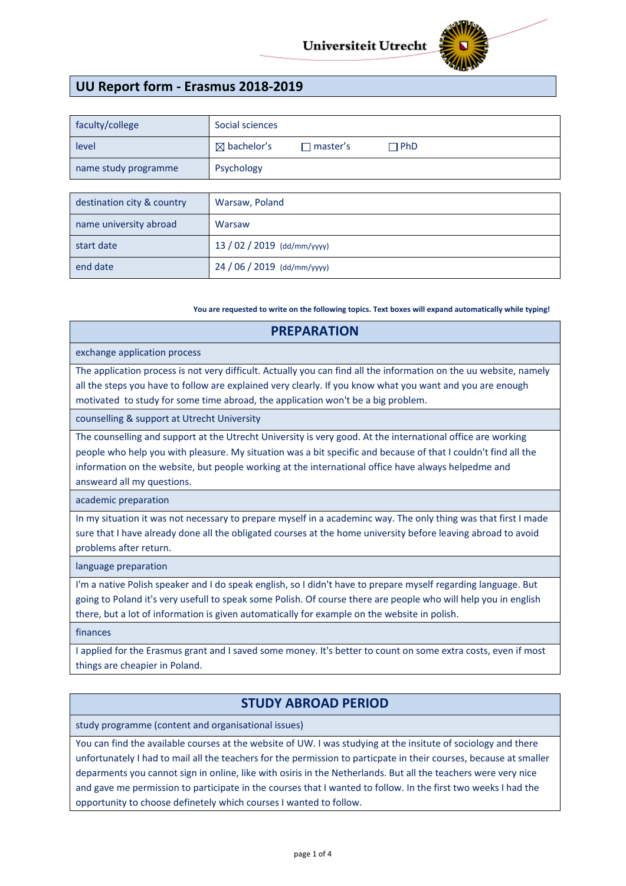

# **UU Report form - Erasmus 2018-2019**

| faculty/college            | Social sciences                                         |  |  |
|----------------------------|---------------------------------------------------------|--|--|
| level                      | $\boxtimes$ bachelor's<br>$\Box$ PhD<br>$\Box$ master's |  |  |
| name study programme       | Psychology                                              |  |  |
|                            |                                                         |  |  |
| destination city & country | Warsaw, Poland                                          |  |  |
| name university abroad     | Warsaw                                                  |  |  |
| start date                 | 13 / 02 / 2019 (dd/mm/yyyy)                             |  |  |
| end date                   | 24 / 06 / 2019 (dd/mm/yyyy)                             |  |  |

**You are requested to write on the following topics. Text boxes will expand automatically while typing!**

| <b>PREPARATION</b>                                                                                                                                                                                                                                                                                                                                                 |  |  |  |
|--------------------------------------------------------------------------------------------------------------------------------------------------------------------------------------------------------------------------------------------------------------------------------------------------------------------------------------------------------------------|--|--|--|
| exchange application process                                                                                                                                                                                                                                                                                                                                       |  |  |  |
| The application process is not very difficult. Actually you can find all the information on the uu website, namely<br>all the steps you have to follow are explained very clearly. If you know what you want and you are enough<br>motivated to study for some time abroad, the application won't be a big problem.                                                |  |  |  |
| counselling & support at Utrecht University                                                                                                                                                                                                                                                                                                                        |  |  |  |
| The counselling and support at the Utrecht University is very good. At the international office are working<br>people who help you with pleasure. My situation was a bit specific and because of that I couldn't find all the<br>information on the website, but people working at the international office have always helpedme and<br>answeard all my questions. |  |  |  |
| academic preparation                                                                                                                                                                                                                                                                                                                                               |  |  |  |
| In my situation it was not necessary to prepare myself in a academinc way. The only thing was that first I made<br>sure that I have already done all the obligated courses at the home university before leaving abroad to avoid<br>problems after return.                                                                                                         |  |  |  |
| language preparation                                                                                                                                                                                                                                                                                                                                               |  |  |  |
| I'm a native Polish speaker and I do speak english, so I didn't have to prepare myself regarding language. But<br>going to Poland it's very usefull to speak some Polish. Of course there are people who will help you in english<br>there, but a lot of information is given automatically for example on the website in polish.                                  |  |  |  |
| finances                                                                                                                                                                                                                                                                                                                                                           |  |  |  |
| I applied for the Erasmus grant and I saved some money. It's better to count on some extra costs, even if most<br>things are cheapier in Poland.                                                                                                                                                                                                                   |  |  |  |

# **STUDY ABROAD PERIOD**

study programme (content and organisational issues)

You can find the available courses at the website of UW. I was studying at the insitute of sociology and there unfortunately I had to mail all the teachers for the permission to particpate in their courses, because at smaller deparments you cannot sign in online, like with osiris in the Netherlands. But all the teachers were very nice and gave me permission to participate in the courses that I wanted to follow. In the first two weeks I had the opportunity to choose definetely which courses I wanted to follow.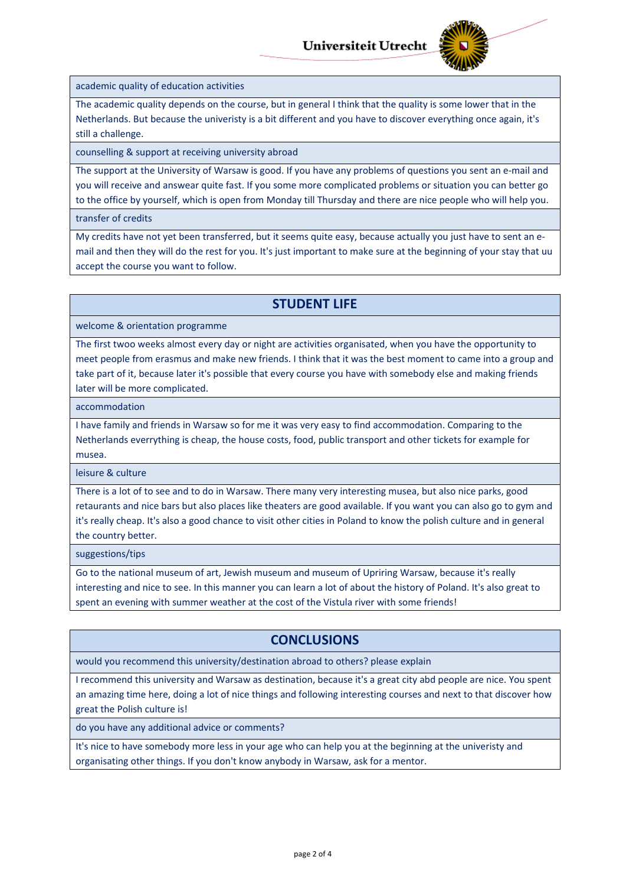

academic quality of education activities

The academic quality depends on the course, but in general I think that the quality is some lower that in the Netherlands. But because the univeristy is a bit different and you have to discover everything once again, it's still a challenge.

counselling & support at receiving university abroad

The support at the University of Warsaw is good. If you have any problems of questions you sent an e-mail and you will receive and answear quite fast. If you some more complicated problems or situation you can better go to the office by yourself, which is open from Monday till Thursday and there are nice people who will help you.

transfer of credits

My credits have not yet been transferred, but it seems quite easy, because actually you just have to sent an email and then they will do the rest for you. It's just important to make sure at the beginning of your stay that uu accept the course you want to follow.

### **STUDENT LIFE**

welcome & orientation programme

The first twoo weeks almost every day or night are activities organisated, when you have the opportunity to meet people from erasmus and make new friends. I think that it was the best moment to came into a group and take part of it, because later it's possible that every course you have with somebody else and making friends later will be more complicated.

accommodation

I have family and friends in Warsaw so for me it was very easy to find accommodation. Comparing to the Netherlands everrything is cheap, the house costs, food, public transport and other tickets for example for musea.

leisure & culture

There is a lot of to see and to do in Warsaw. There many very interesting musea, but also nice parks, good retaurants and nice bars but also places like theaters are good available. If you want you can also go to gym and it's really cheap. It's also a good chance to visit other cities in Poland to know the polish culture and in general the country better.

suggestions/tips

Go to the national museum of art, Jewish museum and museum of Upriring Warsaw, because it's really interesting and nice to see. In this manner you can learn a lot of about the history of Poland. It's also great to spent an evening with summer weather at the cost of the Vistula river with some friends!

### **CONCLUSIONS**

would you recommend this university/destination abroad to others? please explain

I recommend this university and Warsaw as destination, because it's a great city abd people are nice. You spent an amazing time here, doing a lot of nice things and following interesting courses and next to that discover how great the Polish culture is!

do you have any additional advice or comments?

It's nice to have somebody more less in your age who can help you at the beginning at the univeristy and organisating other things. If you don't know anybody in Warsaw, ask for a mentor.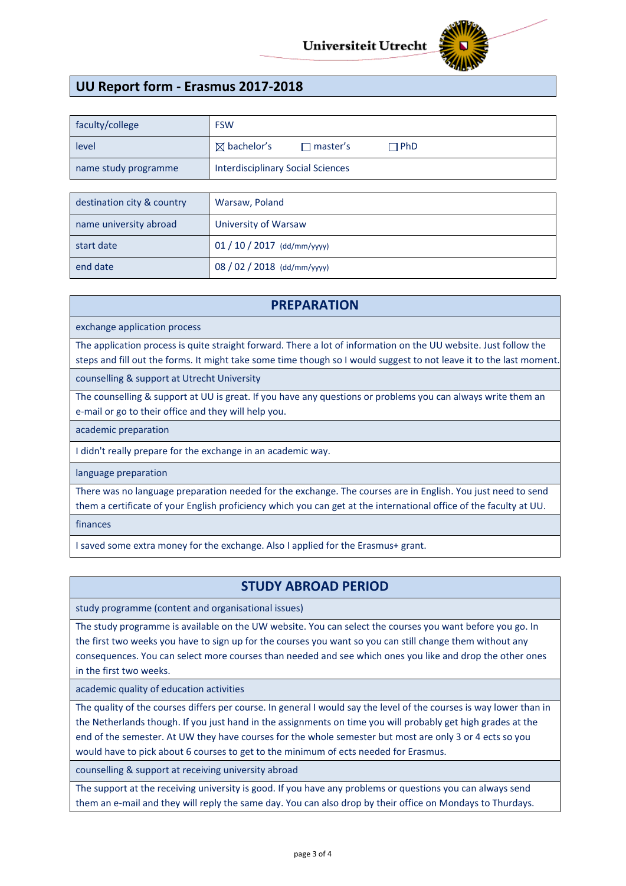

# **UU Report form - Erasmus 2017-2018**

| faculty/college      | <b>FSW</b>                               |                   |              |
|----------------------|------------------------------------------|-------------------|--------------|
| level                | $\boxtimes$ bachelor's                   | $\sqcap$ master's | $\sqcap$ PhD |
| name study programme | <b>Interdisciplinary Social Sciences</b> |                   |              |

| destination city & country | Warsaw, Poland              |
|----------------------------|-----------------------------|
| name university abroad     | University of Warsaw        |
| start date                 | $01/10/2017$ (dd/mm/yyyy)   |
| end date                   | 08 / 02 / 2018 (dd/mm/yyyy) |

#### **PREPARATION**

exchange application process

The application process is quite straight forward. There a lot of information on the UU website. Just follow the steps and fill out the forms. It might take some time though so I would suggest to not leave it to the last moment.

counselling & support at Utrecht University

The counselling & support at UU is great. If you have any questions or problems you can always write them an e-mail or go to their office and they will help you.

academic preparation

I didn't really prepare for the exchange in an academic way.

language preparation

There was no language preparation needed for the exchange. The courses are in English. You just need to send them a certificate of your English proficiency which you can get at the international office of the faculty at UU.

finances

I saved some extra money for the exchange. Also I applied for the Erasmus+ grant.

#### **STUDY ABROAD PERIOD**

study programme (content and organisational issues)

The study programme is available on the UW website. You can select the courses you want before you go. In the first two weeks you have to sign up for the courses you want so you can still change them without any consequences. You can select more courses than needed and see which ones you like and drop the other ones in the first two weeks.

academic quality of education activities

The quality of the courses differs per course. In general I would say the level of the courses is way lower than in the Netherlands though. If you just hand in the assignments on time you will probably get high grades at the end of the semester. At UW they have courses for the whole semester but most are only 3 or 4 ects so you would have to pick about 6 courses to get to the minimum of ects needed for Erasmus.

counselling & support at receiving university abroad

The support at the receiving university is good. If you have any problems or questions you can always send them an e-mail and they will reply the same day. You can also drop by their office on Mondays to Thurdays.